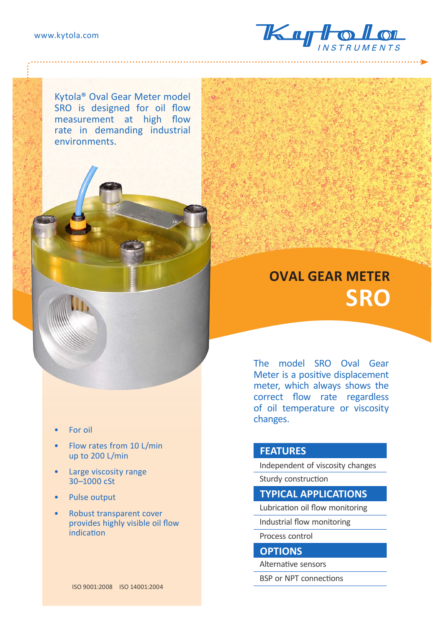

Kytola® Oval Gear Meter model SRO is designed for oil flow measurement at high flow rate in demanding industrial environments.

## **OVAL GEAR METER SRO**

The model SRO Oval Gear Meter is a positive displacement meter, which always shows the correct flow rate regardless of oil temperature or viscosity changes.

## **FEATURES**

Independent of viscosity changes Sturdy construction

## **TYPICAL APPLICATIONS**

Lubrication oil flow monitoring

Industrial flow monitoring

Process control

## **OPTIONS**

Alternative sensors

BSP or NPT connections

• For oil

- Flow rates from 10 L/min up to 200 L/min
- Large viscosity range 30–1000 cSt
- Pulse output
- Robust transparent cover provides highly visible oil flow indication